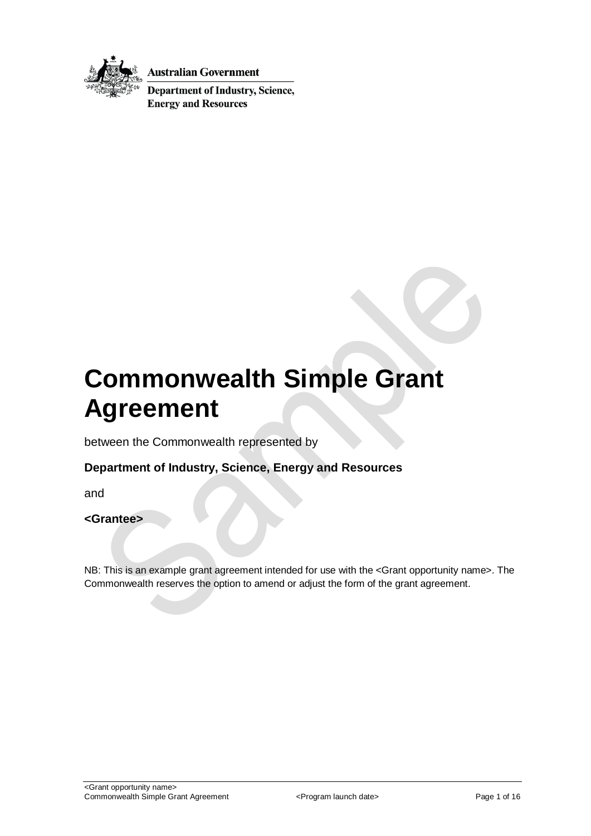

**Australian Government** 

**Department of Industry, Science, Energy and Resources** 

# **Commonwealth Simple Grant Agreement**

between the Commonwealth represented by

### **Department of Industry, Science, Energy and Resources**

and

#### **<Grantee>**

NB: This is an example grant agreement intended for use with the <Grant opportunity name>. The Commonwealth reserves the option to amend or adjust the form of the grant agreement.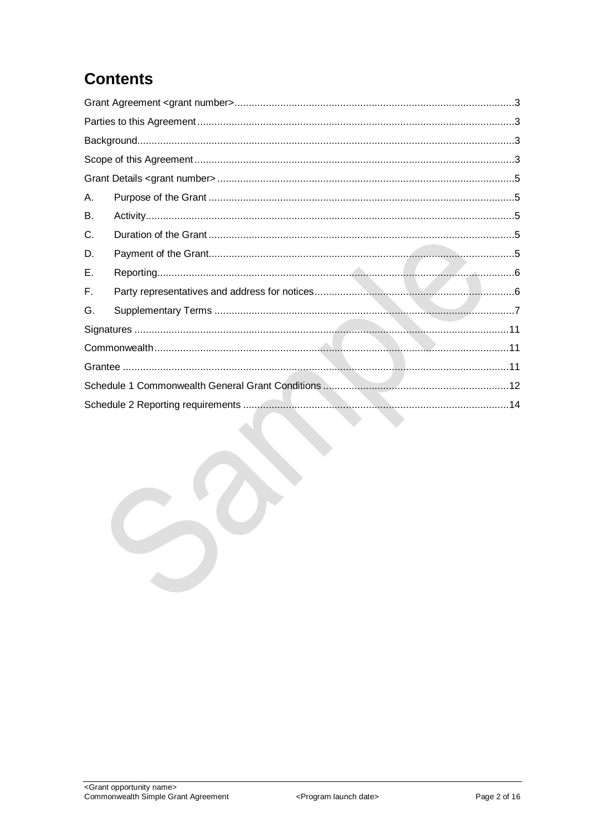## **Contents**

| А. |  |
|----|--|
| В. |  |
| C. |  |
| D. |  |
| Е. |  |
| Е. |  |
| G. |  |
|    |  |
|    |  |
|    |  |
|    |  |
|    |  |
|    |  |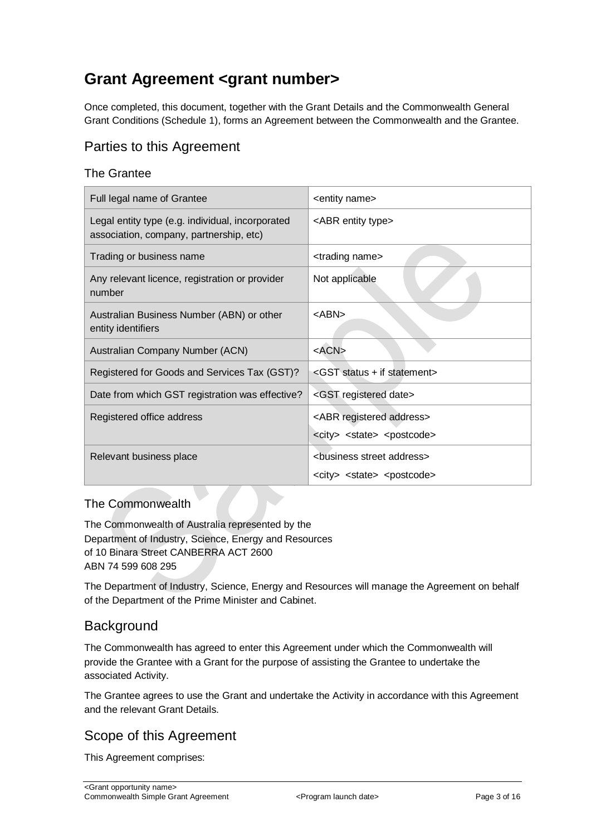## <span id="page-2-0"></span>**Grant Agreement <grant number>**

Once completed, this document, together with the Grant Details and the Commonwealth General Grant Conditions (Schedule 1), forms an Agreement between the Commonwealth and the Grantee.

### <span id="page-2-1"></span>Parties to this Agreement

### The Grantee

| Full legal name of Grantee                                                                  | <entity name=""></entity>                                                                          |  |
|---------------------------------------------------------------------------------------------|----------------------------------------------------------------------------------------------------|--|
| Legal entity type (e.g. individual, incorporated<br>association, company, partnership, etc) | <abr entity="" type=""></abr>                                                                      |  |
| Trading or business name                                                                    | <trading name=""></trading>                                                                        |  |
| Any relevant licence, registration or provider<br>number                                    | Not applicable                                                                                     |  |
| Australian Business Number (ABN) or other<br>entity identifiers                             | $<$ ABN $>$                                                                                        |  |
| Australian Company Number (ACN)                                                             | $<$ ACN $>$                                                                                        |  |
| Registered for Goods and Services Tax (GST)?                                                | <gst +="" if="" statement="" status=""></gst>                                                      |  |
| Date from which GST registration was effective?                                             | <gst date="" registered=""></gst>                                                                  |  |
| Registered office address                                                                   | <abr address="" registered=""><br/><city> <state> <postcode></postcode></state></city></abr>       |  |
| Relevant business place                                                                     | <business address="" street=""><br/><city> <state> <postcode></postcode></state></city></business> |  |

### The Commonwealth

The Commonwealth of Australia represented by the Department of Industry, Science, Energy and Resources of 10 Binara Street CANBERRA ACT 2600 ABN 74 599 608 295

The Department of Industry, Science, Energy and Resources will manage the Agreement on behalf of the Department of the Prime Minister and Cabinet.

### <span id="page-2-2"></span>**Background**

The Commonwealth has agreed to enter this Agreement under which the Commonwealth will provide the Grantee with a Grant for the purpose of assisting the Grantee to undertake the associated Activity.

The Grantee agrees to use the Grant and undertake the Activity in accordance with this Agreement and the relevant Grant Details.

### <span id="page-2-3"></span>Scope of this Agreement

This Agreement comprises: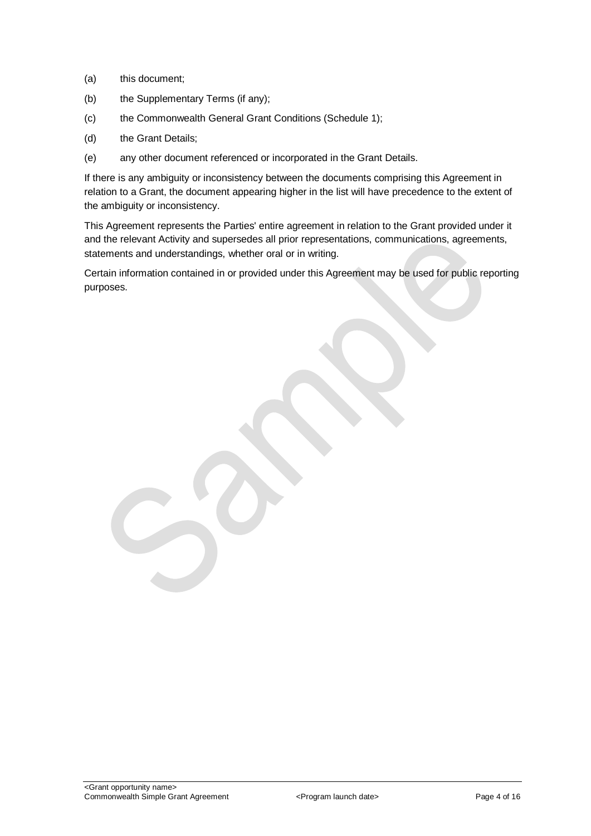- (a) this document;
- (b) the Supplementary Terms (if any);
- (c) the Commonwealth General Grant Conditions (Schedule 1);
- (d) the Grant Details;
- (e) any other document referenced or incorporated in the Grant Details.

If there is any ambiguity or inconsistency between the documents comprising this Agreement in relation to a Grant, the document appearing higher in the list will have precedence to the extent of the ambiguity or inconsistency.

This Agreement represents the Parties' entire agreement in relation to the Grant provided under it and the relevant Activity and supersedes all prior representations, communications, agreements, statements and understandings, whether oral or in writing.

Certain information contained in or provided under this Agreement may be used for public reporting purposes.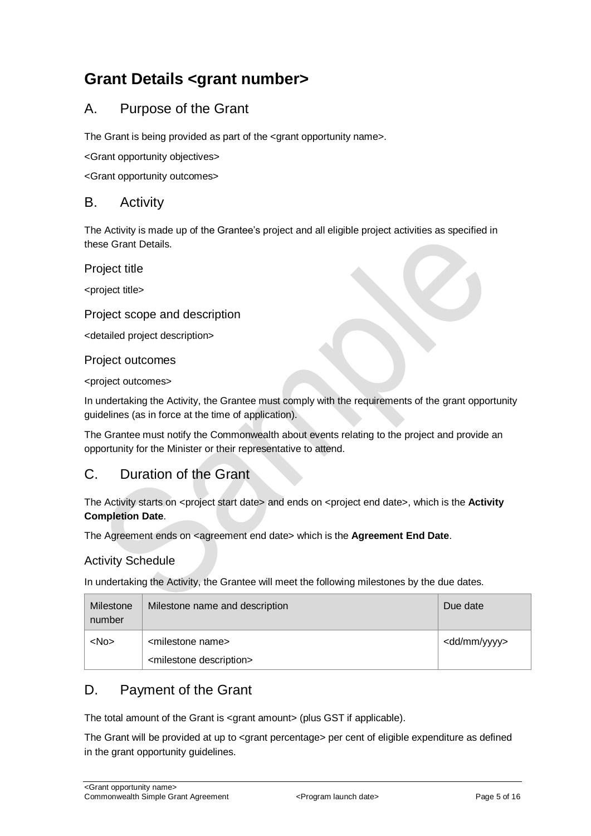## <span id="page-4-0"></span>**Grant Details <grant number>**

### <span id="page-4-1"></span>A. Purpose of the Grant

The Grant is being provided as part of the <grant opportunity name>.

<Grant opportunity objectives>

<Grant opportunity outcomes>

### <span id="page-4-2"></span>B. Activity

The Activity is made up of the Grantee's project and all eligible project activities as specified in these Grant Details.

Project title

<project title>

#### Project scope and description

<detailed project description>

Project outcomes

<project outcomes>

In undertaking the Activity, the Grantee must comply with the requirements of the grant opportunity guidelines (as in force at the time of application).

The Grantee must notify the Commonwealth about events relating to the project and provide an opportunity for the Minister or their representative to attend.

### <span id="page-4-3"></span>C. Duration of the Grant

The Activity starts on <project start date> and ends on <project end date>, which is the **Activity Completion Date**.

The Agreement ends on <agreement end date> which is the **Agreement End Date**.

#### Activity Schedule

In undertaking the Activity, the Grantee will meet the following milestones by the due dates.

| Milestone<br>number | Milestone name and description                                             | Due date                |
|---------------------|----------------------------------------------------------------------------|-------------------------|
| $<$ No $>$          | <milestone name=""><br/><milestone description=""></milestone></milestone> | <dd mm="" yyyy=""></dd> |

### <span id="page-4-4"></span>D. Payment of the Grant

The total amount of the Grant is <grant amount> (plus GST if applicable).

The Grant will be provided at up to <grant percentage> per cent of eligible expenditure as defined in the grant opportunity guidelines.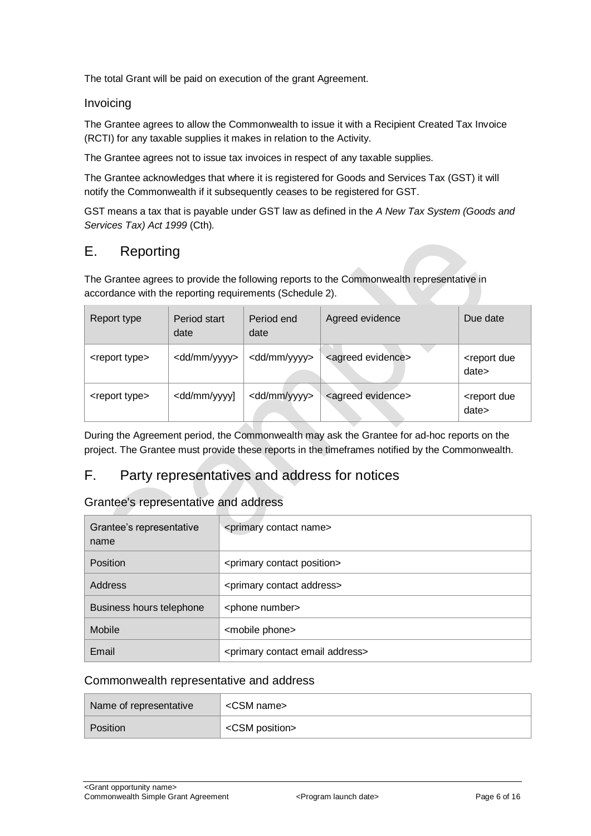The total Grant will be paid on execution of the grant Agreement.

#### Invoicing

The Grantee agrees to allow the Commonwealth to issue it with a Recipient Created Tax Invoice (RCTI) for any taxable supplies it makes in relation to the Activity.

The Grantee agrees not to issue tax invoices in respect of any taxable supplies.

The Grantee acknowledges that where it is registered for Goods and Services Tax (GST) it will notify the Commonwealth if it subsequently ceases to be registered for GST.

GST means a tax that is payable under GST law as defined in the *A New Tax System (Goods and Services Tax) Act 1999* (Cth)*.*

### <span id="page-5-0"></span>E. Reporting

The Grantee agrees to provide the following reports to the Commonwealth representative in accordance with the reporting requirements (Schedule 2).

| Report type               | Period start<br>date                                                                                                                              | Period end<br>date      | Agreed evidence               | Due date                            |
|---------------------------|---------------------------------------------------------------------------------------------------------------------------------------------------|-------------------------|-------------------------------|-------------------------------------|
| <report type=""></report> | <dd mm="" yyyy=""></dd>                                                                                                                           | <dd mm="" yyyy=""></dd> | <agreed evidence=""></agreed> | <report due<br="">date&gt;</report> |
| <report type=""></report> | <dd mm="" td="" yyyy]<=""><td><dd mm="" yyyy=""></dd></td><td><agreed evidence=""></agreed></td><td><report due<br="">date&gt;</report></td></dd> | <dd mm="" yyyy=""></dd> | <agreed evidence=""></agreed> | <report due<br="">date&gt;</report> |

During the Agreement period, the Commonwealth may ask the Grantee for ad-hoc reports on the project. The Grantee must provide these reports in the timeframes notified by the Commonwealth.

### <span id="page-5-1"></span>F. Party representatives and address for notices

#### Grantee's representative and address

| Grantee's representative<br>name | <primary contact="" name=""></primary>             |  |
|----------------------------------|----------------------------------------------------|--|
| Position                         | <primary contact="" position=""></primary>         |  |
| Address                          | <primary address="" contact=""></primary>          |  |
| Business hours telephone         | <phone number=""></phone>                          |  |
| Mobile                           | <mobile phone=""></mobile>                         |  |
| Email                            | <primary address="" contact="" email=""></primary> |  |

#### Commonwealth representative and address

| Name of representative | <csm name=""></csm>     |  |
|------------------------|-------------------------|--|
| Position               | <csm position=""></csm> |  |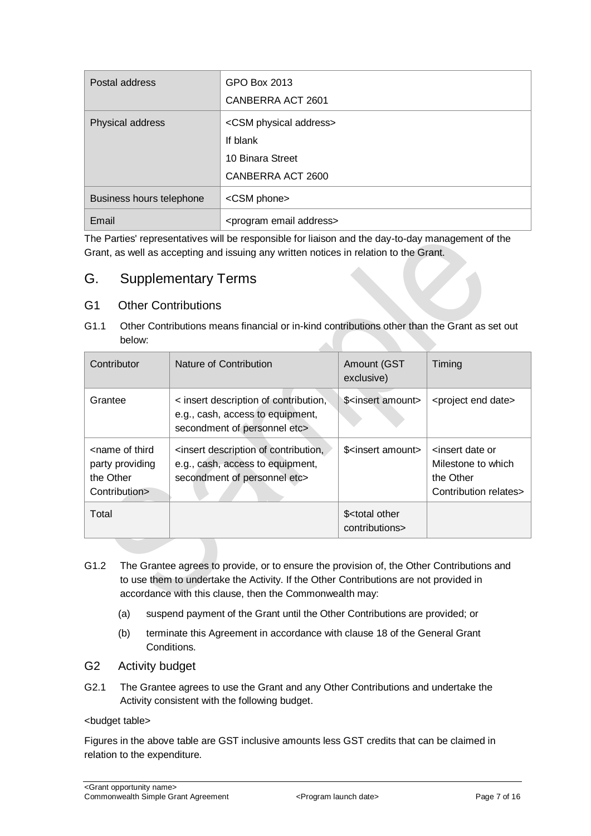| Postal address           | GPO Box 2013                            |  |
|--------------------------|-----------------------------------------|--|
|                          | CANBERRA ACT 2601                       |  |
| Physical address         | <csm address="" physical=""></csm>      |  |
|                          | If blank                                |  |
|                          | 10 Binara Street                        |  |
|                          | CANBERRA ACT 2600                       |  |
| Business hours telephone | <csm phone=""></csm>                    |  |
| Email                    | <program address="" email=""></program> |  |

The Parties' representatives will be responsible for liaison and the day-to-day management of the Grant, as well as accepting and issuing any written notices in relation to the Grant.

### <span id="page-6-0"></span>G. Supplementary Terms

### G1 Other Contributions

G1.1 Other Contributions means financial or in-kind contributions other than the Grant as set out below:

| Contributor                                                                       | Nature of Contribution                                                                                                         | Amount (GST<br>exclusive)                                                                                                                     | Timing                                                                                          |
|-----------------------------------------------------------------------------------|--------------------------------------------------------------------------------------------------------------------------------|-----------------------------------------------------------------------------------------------------------------------------------------------|-------------------------------------------------------------------------------------------------|
| Grantee                                                                           | < insert description of contribution,<br>e.g., cash, access to equipment,<br>secondment of personnel etc>                      | \$ <insert amount=""></insert>                                                                                                                | <project date="" end=""></project>                                                              |
| <name of="" third<br="">party providing<br/>the Other<br/>Contribution&gt;</name> | <insert contribution,<br="" description="" of="">e.g., cash, access to equipment,<br/>secondment of personnel etc&gt;</insert> | \$ <insert amount<="" td=""><td><insert date="" or<br="">Milestone to which<br/>the Other<br/>Contribution relates&gt;</insert></td></insert> | <insert date="" or<br="">Milestone to which<br/>the Other<br/>Contribution relates&gt;</insert> |
| Total                                                                             |                                                                                                                                | \$ <total other<br="">contributions&gt;</total>                                                                                               |                                                                                                 |

- G1.2 The Grantee agrees to provide, or to ensure the provision of, the Other Contributions and to use them to undertake the Activity. If the Other Contributions are not provided in accordance with this clause, then the Commonwealth may:
	- (a) suspend payment of the Grant until the Other Contributions are provided; or
	- (b) terminate this Agreement in accordance with clause 18 of the General Grant Conditions.
- G2 Activity budget
- G2.1 The Grantee agrees to use the Grant and any Other Contributions and undertake the Activity consistent with the following budget.

#### <budget table>

Figures in the above table are GST inclusive amounts less GST credits that can be claimed in relation to the expenditure.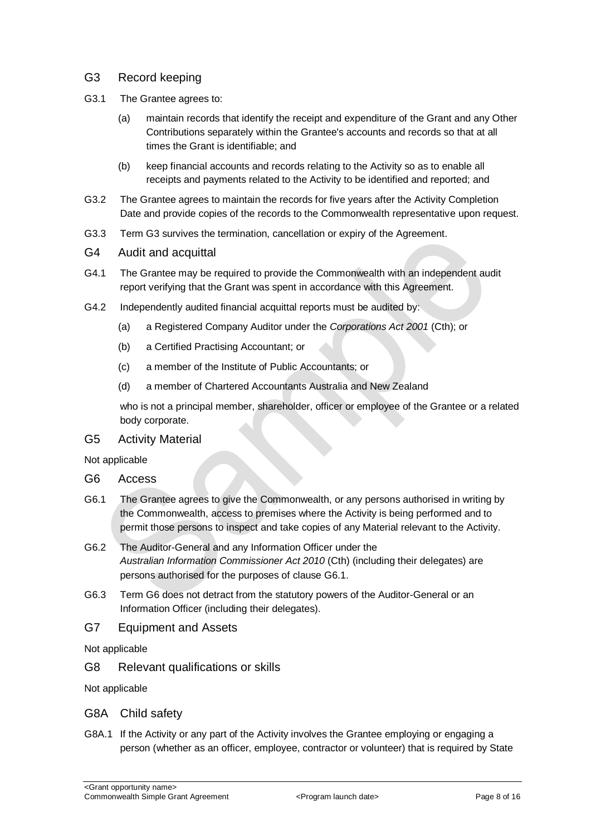- G3 Record keeping
- G3.1 The Grantee agrees to:
	- (a) maintain records that identify the receipt and expenditure of the Grant and any Other Contributions separately within the Grantee's accounts and records so that at all times the Grant is identifiable; and
	- (b) keep financial accounts and records relating to the Activity so as to enable all receipts and payments related to the Activity to be identified and reported; and
- G3.2 The Grantee agrees to maintain the records for five years after the Activity Completion Date and provide copies of the records to the Commonwealth representative upon request.
- G3.3 Term G3 survives the termination, cancellation or expiry of the Agreement.
- G4 Audit and acquittal
- G4.1 The Grantee may be required to provide the Commonwealth with an independent audit report verifying that the Grant was spent in accordance with this Agreement.
- G4.2 Independently audited financial acquittal reports must be audited by:
	- (a) a Registered Company Auditor under the *Corporations Act 2001* (Cth); or
	- (b) a Certified Practising Accountant; or
	- (c) a member of the Institute of Public Accountants; or
	- (d) a member of Chartered Accountants Australia and New Zealand

who is not a principal member, shareholder, officer or employee of the Grantee or a related body corporate.

G5 Activity Material

Not applicable

- G6 Access
- G6.1 The Grantee agrees to give the Commonwealth, or any persons authorised in writing by the Commonwealth, access to premises where the Activity is being performed and to permit those persons to inspect and take copies of any Material relevant to the Activity.
- G6.2 The Auditor-General and any Information Officer under the *Australian Information Commissioner Act 2010* (Cth) (including their delegates) are persons authorised for the purposes of clause G6.1.
- G6.3 Term G6 does not detract from the statutory powers of the Auditor-General or an Information Officer (including their delegates).
- G7 Equipment and Assets

Not applicable

G8 Relevant qualifications or skills

Not applicable

- G8A Child safety
- G8A.1 If the Activity or any part of the Activity involves the Grantee employing or engaging a person (whether as an officer, employee, contractor or volunteer) that is required by State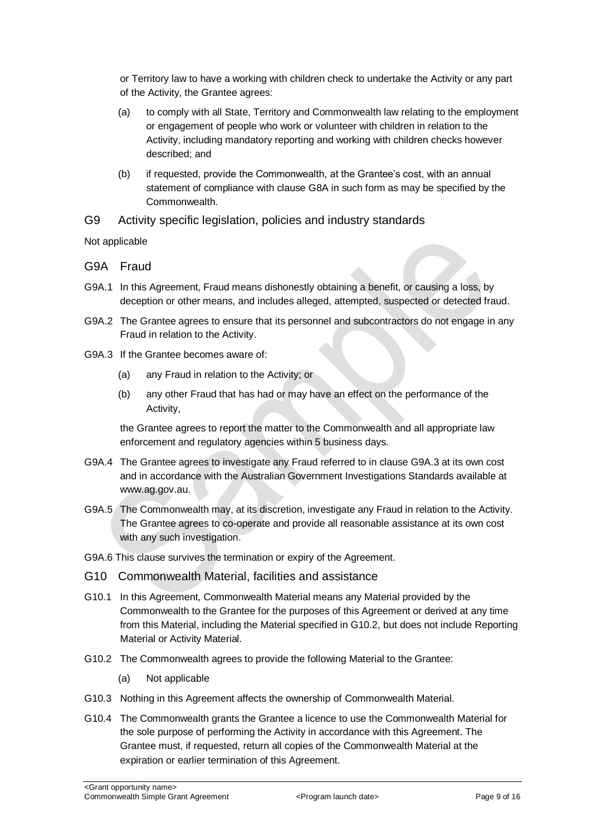or Territory law to have a working with children check to undertake the Activity or any part of the Activity, the Grantee agrees:

- (a) to comply with all State, Territory and Commonwealth law relating to the employment or engagement of people who work or volunteer with children in relation to the Activity, including mandatory reporting and working with children checks however described; and
- (b) if requested, provide the Commonwealth, at the Grantee's cost, with an annual statement of compliance with clause G8A in such form as may be specified by the Commonwealth.
- G9 Activity specific legislation, policies and industry standards

Not applicable

- G9A Fraud
- G9A.1 In this Agreement, Fraud means dishonestly obtaining a benefit, or causing a loss, by deception or other means, and includes alleged, attempted, suspected or detected fraud.
- G9A.2 The Grantee agrees to ensure that its personnel and subcontractors do not engage in any Fraud in relation to the Activity.
- G9A.3 If the Grantee becomes aware of:
	- (a) any Fraud in relation to the Activity; or
	- (b) any other Fraud that has had or may have an effect on the performance of the Activity,

the Grantee agrees to report the matter to the Commonwealth and all appropriate law enforcement and regulatory agencies within 5 business days.

- G9A.4 The Grantee agrees to investigate any Fraud referred to in clause G9A.3 at its own cost and in accordance with the Australian Government Investigations Standards available at [www.ag.gov.au.](http://www.ag.gov.au/)
- G9A.5 The Commonwealth may, at its discretion, investigate any Fraud in relation to the Activity. The Grantee agrees to co-operate and provide all reasonable assistance at its own cost with any such investigation.
- G9A.6 This clause survives the termination or expiry of the Agreement.
- G10 Commonwealth Material, facilities and assistance
- G10.1 In this Agreement, Commonwealth Material means any Material provided by the Commonwealth to the Grantee for the purposes of this Agreement or derived at any time from this Material, including the Material specified in G10.2, but does not include Reporting Material or Activity Material.
- G10.2 The Commonwealth agrees to provide the following Material to the Grantee:
	- (a) Not applicable
- G10.3 Nothing in this Agreement affects the ownership of Commonwealth Material.
- G10.4 The Commonwealth grants the Grantee a licence to use the Commonwealth Material for the sole purpose of performing the Activity in accordance with this Agreement. The Grantee must, if requested, return all copies of the Commonwealth Material at the expiration or earlier termination of this Agreement.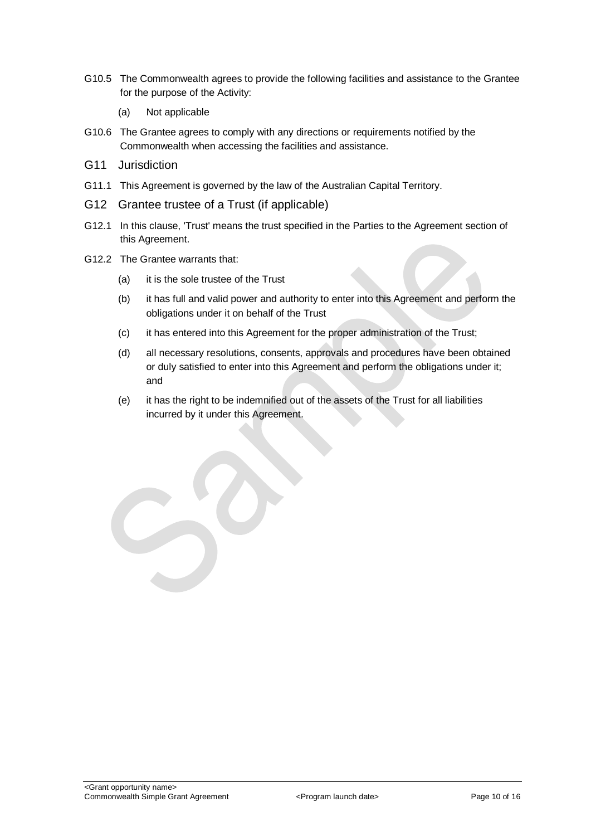- G10.5 The Commonwealth agrees to provide the following facilities and assistance to the Grantee for the purpose of the Activity:
	- (a) Not applicable
- G10.6 The Grantee agrees to comply with any directions or requirements notified by the Commonwealth when accessing the facilities and assistance.
- G11 Jurisdiction
- G11.1 This Agreement is governed by the law of the Australian Capital Territory.
- G12 Grantee trustee of a Trust (if applicable)
- G12.1 In this clause, 'Trust' means the trust specified in the Parties to the Agreement section of this Agreement.
- G12.2 The Grantee warrants that:
	- (a) it is the sole trustee of the Trust
	- (b) it has full and valid power and authority to enter into this Agreement and perform the obligations under it on behalf of the Trust
	- (c) it has entered into this Agreement for the proper administration of the Trust;
	- (d) all necessary resolutions, consents, approvals and procedures have been obtained or duly satisfied to enter into this Agreement and perform the obligations under it; and
	- (e) it has the right to be indemnified out of the assets of the Trust for all liabilities incurred by it under this Agreement.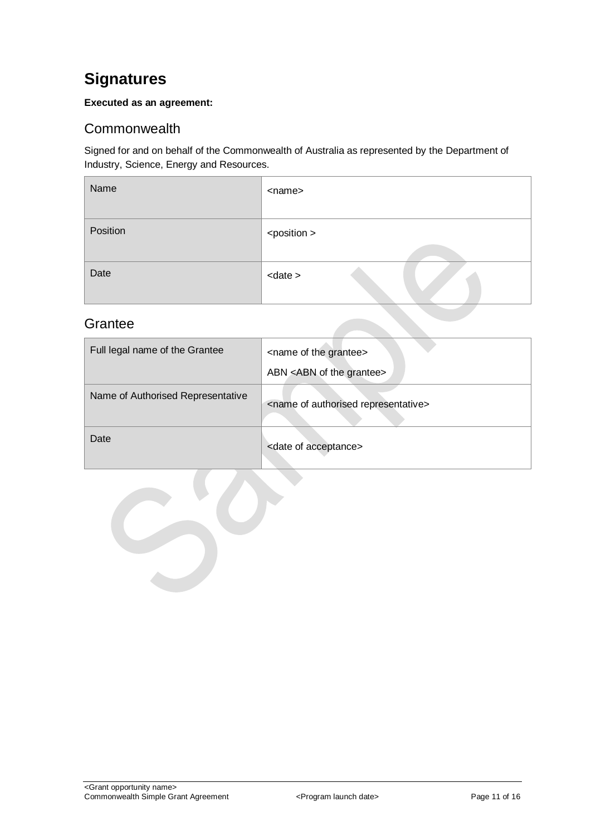## <span id="page-10-0"></span>**Signatures**

#### **Executed as an agreement:**

### <span id="page-10-1"></span>**Commonwealth**

Signed for and on behalf of the Commonwealth of Australia as represented by the Department of Industry, Science, Energy and Resources.

| Name     | <name></name>         |
|----------|-----------------------|
| Position | <position></position> |
| Date     | $<$ date $>$          |

### <span id="page-10-2"></span>**Grantee**

| Full legal name of the Grantee    | <name grantee="" of="" the=""><br/>ABN <abn grantee="" of="" the=""></abn></name> |
|-----------------------------------|-----------------------------------------------------------------------------------|
| Name of Authorised Representative | <name authorised="" of="" representative=""></name>                               |
| Date                              | <date acceptance="" of=""></date>                                                 |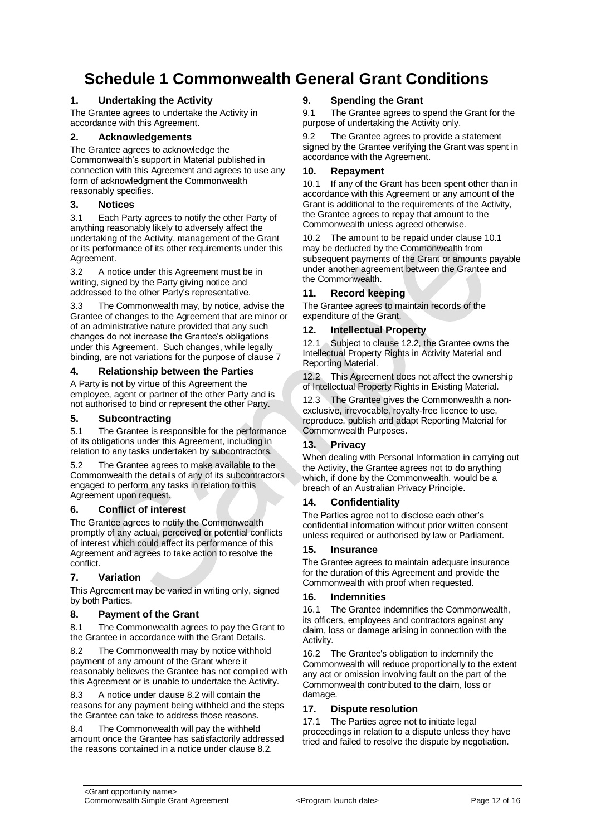## <span id="page-11-0"></span>**Schedule 1 Commonwealth General Grant Conditions**

#### **1. Undertaking the Activity**

The Grantee agrees to undertake the Activity in accordance with this Agreement.

#### **2. Acknowledgements**

The Grantee agrees to acknowledge the Commonwealth's support in Material published in connection with this Agreement and agrees to use any form of acknowledgment the Commonwealth reasonably specifies.

#### **3. Notices**

3.1 Each Party agrees to notify the other Party of anything reasonably likely to adversely affect the undertaking of the Activity, management of the Grant or its performance of its other requirements under this Agreement.

3.2 A notice under this Agreement must be in writing, signed by the Party giving notice and addressed to the other Party's representative.

3.3 The Commonwealth may, by notice, advise the Grantee of changes to the Agreement that are minor or of an administrative nature provided that any such changes do not increase the Grantee's obligations under this Agreement. Such changes, while legally binding, are not variations for the purpose of clause 7

#### **4. Relationship between the Parties**

A Party is not by virtue of this Agreement the employee, agent or partner of the other Party and is not authorised to bind or represent the other Party.

#### **5. Subcontracting**

5.1 The Grantee is responsible for the performance of its obligations under this Agreement, including in relation to any tasks undertaken by subcontractors.

5.2 The Grantee agrees to make available to the Commonwealth the details of any of its subcontractors engaged to perform any tasks in relation to this Agreement upon request.

#### **6. Conflict of interest**

The Grantee agrees to notify the Commonwealth promptly of any actual, perceived or potential conflicts of interest which could affect its performance of this Agreement and agrees to take action to resolve the conflict.

#### **7. Variation**

This Agreement may be varied in writing only, signed by both Parties.

#### **8. Payment of the Grant**

8.1 The Commonwealth agrees to pay the Grant to the Grantee in accordance with the Grant Details.

8.2 The Commonwealth may by notice withhold payment of any amount of the Grant where it reasonably believes the Grantee has not complied with this Agreement or is unable to undertake the Activity.

8.3 A notice under clause 8.2 will contain the reasons for any payment being withheld and the steps the Grantee can take to address those reasons.

8.4 The Commonwealth will pay the withheld amount once the Grantee has satisfactorily addressed the reasons contained in a notice under clause 8.2.

#### **9. Spending the Grant**

9.1 The Grantee agrees to spend the Grant for the purpose of undertaking the Activity only.

9.2 The Grantee agrees to provide a statement signed by the Grantee verifying the Grant was spent in accordance with the Agreement.

#### **10. Repayment**

10.1 If any of the Grant has been spent other than in accordance with this Agreement or any amount of the Grant is additional to the requirements of the Activity, the Grantee agrees to repay that amount to the Commonwealth unless agreed otherwise.

10.2 The amount to be repaid under clause 10.1 may be deducted by the Commonwealth from subsequent payments of the Grant or amounts payable under another agreement between the Grantee and the Commonwealth.

#### **11. Record keeping**

The Grantee agrees to maintain records of the expenditure of the Grant.

#### **12. Intellectual Property**

12.1 Subject to clause 12.2, the Grantee owns the Intellectual Property Rights in Activity Material and Reporting Material.

12.2 This Agreement does not affect the ownership of Intellectual Property Rights in Existing Material.

12.3 The Grantee gives the Commonwealth a nonexclusive, irrevocable, royalty-free licence to use, reproduce, publish and adapt Reporting Material for Commonwealth Purposes.

#### **13. Privacy**

When dealing with Personal Information in carrying out the Activity, the Grantee agrees not to do anything which, if done by the Commonwealth, would be a breach of an Australian Privacy Principle.

#### **14. Confidentiality**

The Parties agree not to disclose each other's confidential information without prior written consent unless required or authorised by law or Parliament.

#### **15. Insurance**

The Grantee agrees to maintain adequate insurance for the duration of this Agreement and provide the Commonwealth with proof when requested.

#### **16. Indemnities**

16.1 The Grantee indemnifies the Commonwealth, its officers, employees and contractors against any claim, loss or damage arising in connection with the Activity.

16.2 The Grantee's obligation to indemnify the Commonwealth will reduce proportionally to the extent any act or omission involving fault on the part of the Commonwealth contributed to the claim, loss or damage.

#### **17. Dispute resolution**

17.1 The Parties agree not to initiate legal proceedings in relation to a dispute unless they have tried and failed to resolve the dispute by negotiation.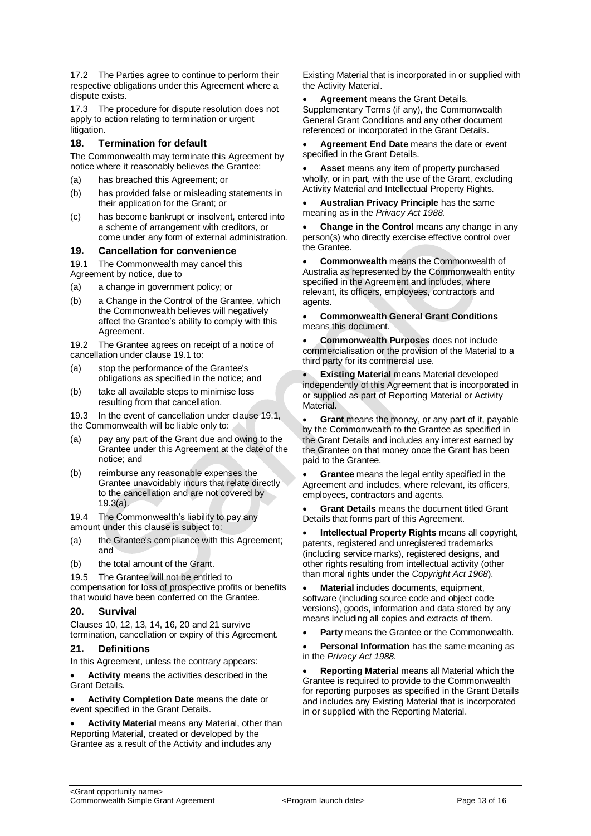17.2 The Parties agree to continue to perform their respective obligations under this Agreement where a dispute exists.

17.3 The procedure for dispute resolution does not apply to action relating to termination or urgent litigation.

#### **18. Termination for default**

The Commonwealth may terminate this Agreement by notice where it reasonably believes the Grantee:

- (a) has breached this Agreement; or
- (b) has provided false or misleading statements in their application for the Grant; or
- (c) has become bankrupt or insolvent, entered into a scheme of arrangement with creditors, or come under any form of external administration.

#### **19. Cancellation for convenience**

19.1 The Commonwealth may cancel this Agreement by notice, due to

- (a) a change in government policy; or
- (b) a Change in the Control of the Grantee, which the Commonwealth believes will negatively affect the Grantee's ability to comply with this Agreement.

19.2 The Grantee agrees on receipt of a notice of cancellation under clause 19.1 to:

- (a) stop the performance of the Grantee's obligations as specified in the notice; and
- (b) take all available steps to minimise loss resulting from that cancellation.

19.3 In the event of cancellation under clause 19.1, the Commonwealth will be liable only to:

- (a) pay any part of the Grant due and owing to the Grantee under this Agreement at the date of the notice; and
- (b) reimburse any reasonable expenses the Grantee unavoidably incurs that relate directly to the cancellation and are not covered by 19.3(a).

19.4 The Commonwealth's liability to pay any amount under this clause is subject to:

- (a) the Grantee's compliance with this Agreement: and
- (b) the total amount of the Grant.

19.5 The Grantee will not be entitled to

compensation for loss of prospective profits or benefits that would have been conferred on the Grantee.

#### **20. Survival**

Clauses 10, 12, 13, 14, 16, 20 and 21 survive termination, cancellation or expiry of this Agreement.

#### **21. Definitions**

In this Agreement, unless the contrary appears:

 **Activity** means the activities described in the Grant Details.

 **Activity Completion Date** means the date or event specified in the Grant Details.

 **Activity Material** means any Material, other than Reporting Material, created or developed by the Grantee as a result of the Activity and includes any

Existing Material that is incorporated in or supplied with the Activity Material.

 **Agreement** means the Grant Details, Supplementary Terms (if any), the Commonwealth General Grant Conditions and any other document referenced or incorporated in the Grant Details.

 **Agreement End Date** means the date or event specified in the Grant Details.

 **Asset** means any item of property purchased wholly, or in part, with the use of the Grant, excluding Activity Material and Intellectual Property Rights.

 **Australian Privacy Principle** has the same meaning as in the *Privacy Act 1988.*

 **Change in the Control** means any change in any person(s) who directly exercise effective control over the Grantee.

 **Commonwealth** means the Commonwealth of Australia as represented by the Commonwealth entity specified in the Agreement and includes, where relevant, its officers, employees, contractors and agents.

#### **Commonwealth General Grant Conditions** means this document.

 **Commonwealth Purposes** does not include commercialisation or the provision of the Material to a third party for its commercial use.

 **Existing Material** means Material developed independently of this Agreement that is incorporated in or supplied as part of Reporting Material or Activity **Material** 

 **Grant** means the money, or any part of it, payable by the Commonwealth to the Grantee as specified in the Grant Details and includes any interest earned by the Grantee on that money once the Grant has been paid to the Grantee.

 **Grantee** means the legal entity specified in the Agreement and includes, where relevant, its officers, employees, contractors and agents.

 **Grant Details** means the document titled Grant Details that forms part of this Agreement.

 **Intellectual Property Rights** means all copyright, patents, registered and unregistered trademarks (including service marks), registered designs, and other rights resulting from intellectual activity (other than moral rights under the *Copyright Act 1968*).

 **Material** includes documents, equipment, software (including source code and object code versions), goods, information and data stored by any means including all copies and extracts of them.

**Party** means the Grantee or the Commonwealth.

 **Personal Information** has the same meaning as in the *Privacy Act 1988.*

 **Reporting Material** means all Material which the Grantee is required to provide to the Commonwealth for reporting purposes as specified in the Grant Details and includes any Existing Material that is incorporated in or supplied with the Reporting Material.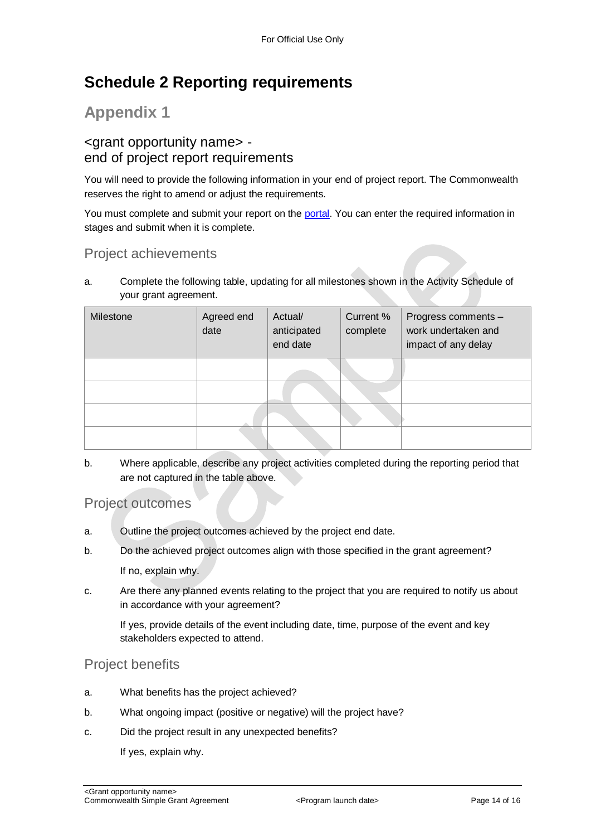## <span id="page-13-0"></span>**Schedule 2 Reporting requirements**

## **Appendix 1**

### <grant opportunity name> end of project report requirements

You will need to provide the following information in your end of project report. The Commonwealth reserves the right to amend or adjust the requirements.

You must complete and submit your report on the [portal.](https://portal.business.gov.au/) You can enter the required information in stages and submit when it is complete.

### Project achievements

a. Complete the following table, updating for all milestones shown in the Activity Schedule of your grant agreement.

| Milestone | Agreed end<br>date | Actual/<br>anticipated<br>end date | Current %<br>complete | Progress comments -<br>work undertaken and<br>impact of any delay |
|-----------|--------------------|------------------------------------|-----------------------|-------------------------------------------------------------------|
|           |                    |                                    |                       |                                                                   |
|           |                    |                                    |                       |                                                                   |
|           |                    |                                    |                       |                                                                   |
|           |                    |                                    |                       |                                                                   |

b. Where applicable, describe any project activities completed during the reporting period that are not captured in the table above.

### Project outcomes

- a. Outline the project outcomes achieved by the project end date.
- b. Do the achieved project outcomes align with those specified in the grant agreement?

If no, explain why.

c. Are there any planned events relating to the project that you are required to notify us about in accordance with your agreement?

If yes, provide details of the event including date, time, purpose of the event and key stakeholders expected to attend.

### Project benefits

- a. What benefits has the project achieved?
- b. What ongoing impact (positive or negative) will the project have?
- c. Did the project result in any unexpected benefits?

If yes, explain why.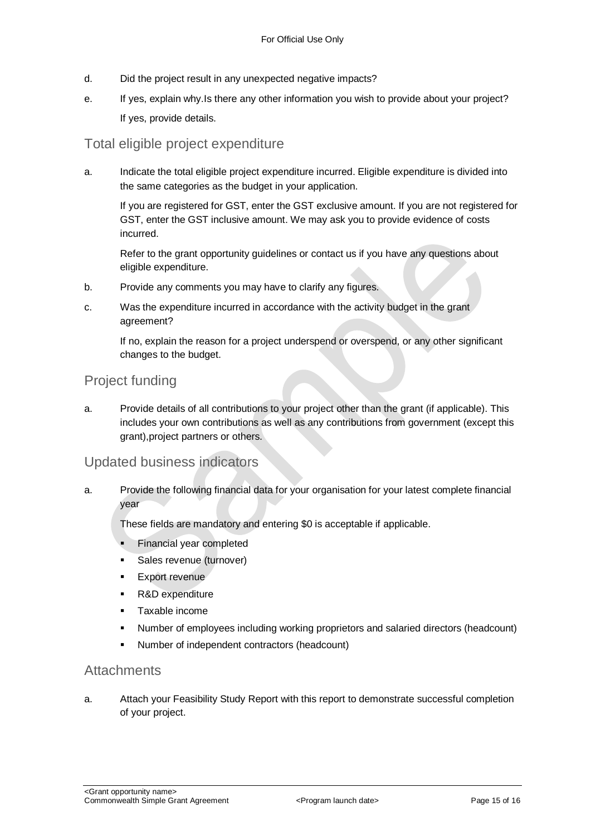- d. Did the project result in any unexpected negative impacts?
- e. If yes, explain why.Is there any other information you wish to provide about your project? If yes, provide details.

### Total eligible project expenditure

a. Indicate the total eligible project expenditure incurred. Eligible expenditure is divided into the same categories as the budget in your application.

If you are registered for GST, enter the GST exclusive amount. If you are not registered for GST, enter the GST inclusive amount. We may ask you to provide evidence of costs incurred.

Refer to the grant opportunity guidelines or contact us if you have any questions about eligible expenditure.

- b. Provide any comments you may have to clarify any figures.
- c. Was the expenditure incurred in accordance with the activity budget in the grant agreement?

If no, explain the reason for a project underspend or overspend, or any other significant changes to the budget.

### Project funding

a. Provide details of all contributions to your project other than the grant (if applicable). This includes your own contributions as well as any contributions from government (except this grant),project partners or others.

### Updated business indicators

a. Provide the following financial data for your organisation for your latest complete financial year

These fields are mandatory and entering \$0 is acceptable if applicable.

- Financial year completed
- Sales revenue (turnover)
- Export revenue
- R&D expenditure
- Taxable income
- Number of employees including working proprietors and salaried directors (headcount)
- Number of independent contractors (headcount)

### **Attachments**

a. Attach your Feasibility Study Report with this report to demonstrate successful completion of your project.